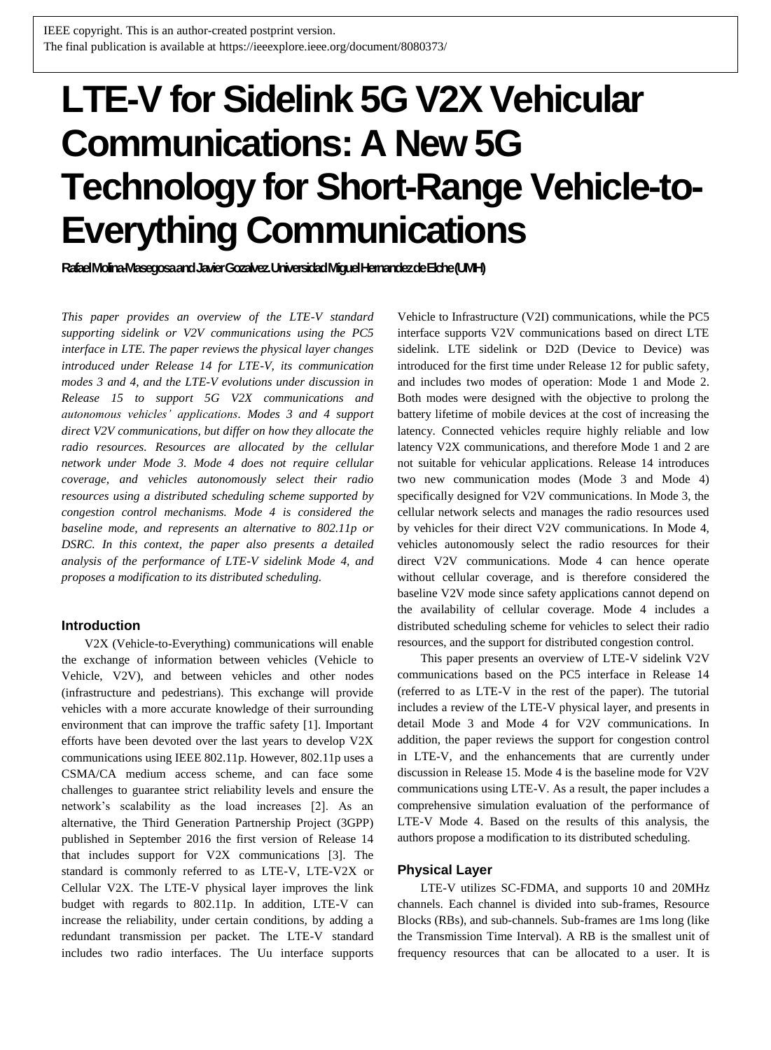# **LTE-V for Sidelink 5G V2X Vehicular Communications: A New 5G Technology for Short-Range Vehicle-to-Everything Communications**

**Rafael Molina-Masegosa and Javier Gozalvez. Universidad Miguel Hernandez de Elche (UMH)**

*This paper provides an overview of the LTE-V standard supporting sidelink or V2V communications using the PC5 interface in LTE. The paper reviews the physical layer changes introduced under Release 14 for LTE-V, its communication modes 3 and 4, and the LTE-V evolutions under discussion in Release 15 to support 5G V2X communications and autonomous vehicles' applications. Modes 3 and 4 support direct V2V communications, but differ on how they allocate the radio resources. Resources are allocated by the cellular network under Mode 3. Mode 4 does not require cellular coverage, and vehicles autonomously select their radio resources using a distributed scheduling scheme supported by congestion control mechanisms. Mode 4 is considered the baseline mode, and represents an alternative to 802.11p or DSRC. In this context, the paper also presents a detailed analysis of the performance of LTE-V sidelink Mode 4, and proposes a modification to its distributed scheduling.*

# **Introduction**

V2X (Vehicle-to-Everything) communications will enable the exchange of information between vehicles (Vehicle to Vehicle, V2V), and between vehicles and other nodes (infrastructure and pedestrians). This exchange will provide vehicles with a more accurate knowledge of their surrounding environment that can improve the traffic safety [1]. Important efforts have been devoted over the last years to develop V2X communications using IEEE 802.11p. However, 802.11p uses a CSMA/CA medium access scheme, and can face some challenges to guarantee strict reliability levels and ensure the network's scalability as the load increases [2]. As an alternative, the Third Generation Partnership Project (3GPP) published in September 2016 the first version of Release 14 that includes support for V2X communications [3]. The standard is commonly referred to as LTE-V, LTE-V2X or Cellular V2X. The LTE-V physical layer improves the link budget with regards to 802.11p. In addition, LTE-V can increase the reliability, under certain conditions, by adding a redundant transmission per packet. The LTE-V standard includes two radio interfaces. The Uu interface supports Vehicle to Infrastructure (V2I) communications, while the PC5 interface supports V2V communications based on direct LTE sidelink. LTE sidelink or D2D (Device to Device) was introduced for the first time under Release 12 for public safety, and includes two modes of operation: Mode 1 and Mode 2. Both modes were designed with the objective to prolong the battery lifetime of mobile devices at the cost of increasing the latency. Connected vehicles require highly reliable and low latency V2X communications, and therefore Mode 1 and 2 are not suitable for vehicular applications. Release 14 introduces two new communication modes (Mode 3 and Mode 4) specifically designed for V2V communications. In Mode 3, the cellular network selects and manages the radio resources used by vehicles for their direct V2V communications. In Mode 4, vehicles autonomously select the radio resources for their direct V2V communications. Mode 4 can hence operate without cellular coverage, and is therefore considered the baseline V2V mode since safety applications cannot depend on the availability of cellular coverage. Mode 4 includes a distributed scheduling scheme for vehicles to select their radio resources, and the support for distributed congestion control.

This paper presents an overview of LTE-V sidelink V2V communications based on the PC5 interface in Release 14 (referred to as LTE-V in the rest of the paper). The tutorial includes a review of the LTE-V physical layer, and presents in detail Mode 3 and Mode 4 for V2V communications. In addition, the paper reviews the support for congestion control in LTE-V, and the enhancements that are currently under discussion in Release 15. Mode 4 is the baseline mode for V2V communications using LTE-V. As a result, the paper includes a comprehensive simulation evaluation of the performance of LTE-V Mode 4. Based on the results of this analysis, the authors propose a modification to its distributed scheduling.

## **Physical Layer**

LTE-V utilizes SC-FDMA, and supports 10 and 20MHz channels. Each channel is divided into sub-frames, Resource Blocks (RBs), and sub-channels. Sub-frames are 1ms long (like the Transmission Time Interval). A RB is the smallest unit of frequency resources that can be allocated to a user. It is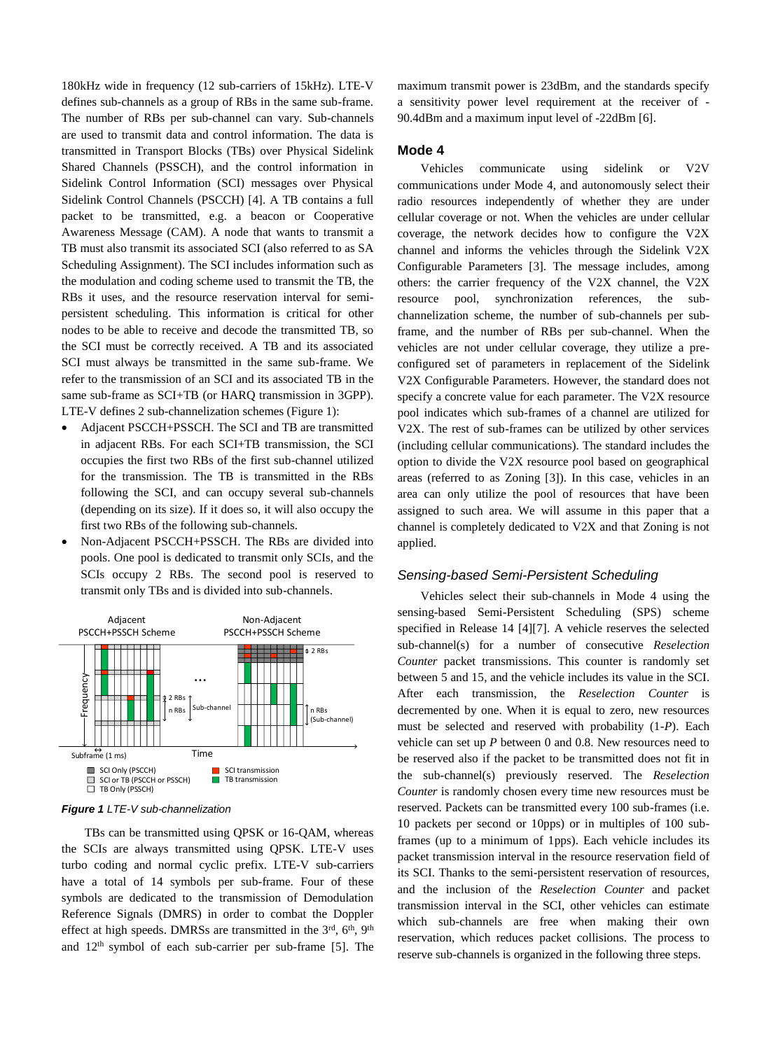180kHz wide in frequency (12 sub-carriers of 15kHz). LTE-V defines sub-channels as a group of RBs in the same sub-frame. The number of RBs per sub-channel can vary. Sub-channels are used to transmit data and control information. The data is transmitted in Transport Blocks (TBs) over Physical Sidelink Shared Channels (PSSCH), and the control information in Sidelink Control Information (SCI) messages over Physical Sidelink Control Channels (PSCCH) [4]. A TB contains a full packet to be transmitted, e.g. a beacon or Cooperative Awareness Message (CAM). A node that wants to transmit a TB must also transmit its associated SCI (also referred to as SA Scheduling Assignment). The SCI includes information such as the modulation and coding scheme used to transmit the TB, the RBs it uses, and the resource reservation interval for semipersistent scheduling. This information is critical for other nodes to be able to receive and decode the transmitted TB, so the SCI must be correctly received. A TB and its associated SCI must always be transmitted in the same sub-frame. We refer to the transmission of an SCI and its associated TB in the same sub-frame as SCI+TB (or HARQ transmission in 3GPP). LTE-V defines 2 sub-channelization schemes (Figure 1):

- Adjacent PSCCH+PSSCH. The SCI and TB are transmitted in adjacent RBs. For each SCI+TB transmission, the SCI occupies the first two RBs of the first sub-channel utilized for the transmission. The TB is transmitted in the RBs following the SCI, and can occupy several sub-channels (depending on its size). If it does so, it will also occupy the first two RBs of the following sub-channels.
- Non-Adjacent PSCCH+PSSCH. The RBs are divided into pools. One pool is dedicated to transmit only SCIs, and the SCIs occupy 2 RBs. The second pool is reserved to transmit only TBs and is divided into sub-channels.





TBs can be transmitted using QPSK or 16-QAM, whereas the SCIs are always transmitted using QPSK. LTE-V uses turbo coding and normal cyclic prefix. LTE-V sub-carriers have a total of 14 symbols per sub-frame. Four of these symbols are dedicated to the transmission of Demodulation Reference Signals (DMRS) in order to combat the Doppler effect at high speeds. DMRSs are transmitted in the  $3<sup>rd</sup>$ ,  $6<sup>th</sup>$ ,  $9<sup>th</sup>$ and 12th symbol of each sub-carrier per sub-frame [5]. The maximum transmit power is 23dBm, and the standards specify a sensitivity power level requirement at the receiver of - 90.4dBm and a maximum input level of -22dBm [6].

#### **Mode 4**

Vehicles communicate using sidelink or V2V communications under Mode 4, and autonomously select their radio resources independently of whether they are under cellular coverage or not. When the vehicles are under cellular coverage, the network decides how to configure the V2X channel and informs the vehicles through the Sidelink V2X Configurable Parameters [3]. The message includes, among others: the carrier frequency of the V2X channel, the V2X resource pool, synchronization references, the subchannelization scheme, the number of sub-channels per subframe, and the number of RBs per sub-channel. When the vehicles are not under cellular coverage, they utilize a preconfigured set of parameters in replacement of the Sidelink V2X Configurable Parameters. However, the standard does not specify a concrete value for each parameter. The V2X resource pool indicates which sub-frames of a channel are utilized for V2X. The rest of sub-frames can be utilized by other services (including cellular communications). The standard includes the option to divide the V2X resource pool based on geographical areas (referred to as Zoning [3]). In this case, vehicles in an area can only utilize the pool of resources that have been assigned to such area. We will assume in this paper that a channel is completely dedicated to V2X and that Zoning is not applied.

### *Sensing-based Semi-Persistent Scheduling*

Vehicles select their sub-channels in Mode 4 using the sensing-based Semi-Persistent Scheduling (SPS) scheme specified in Release 14 [4][7]. A vehicle reserves the selected sub-channel(s) for a number of consecutive *Reselection Counter* packet transmissions. This counter is randomly set between 5 and 15, and the vehicle includes its value in the SCI. After each transmission, the *Reselection Counter* is decremented by one. When it is equal to zero, new resources must be selected and reserved with probability (1-*P*). Each vehicle can set up *P* between 0 and 0.8. New resources need to be reserved also if the packet to be transmitted does not fit in the sub-channel(s) previously reserved. The *Reselection Counter* is randomly chosen every time new resources must be reserved. Packets can be transmitted every 100 sub-frames (i.e. 10 packets per second or 10pps) or in multiples of 100 subframes (up to a minimum of 1pps). Each vehicle includes its packet transmission interval in the resource reservation field of its SCI. Thanks to the semi-persistent reservation of resources, and the inclusion of the *Reselection Counter* and packet transmission interval in the SCI, other vehicles can estimate which sub-channels are free when making their own reservation, which reduces packet collisions. The process to reserve sub-channels is organized in the following three steps.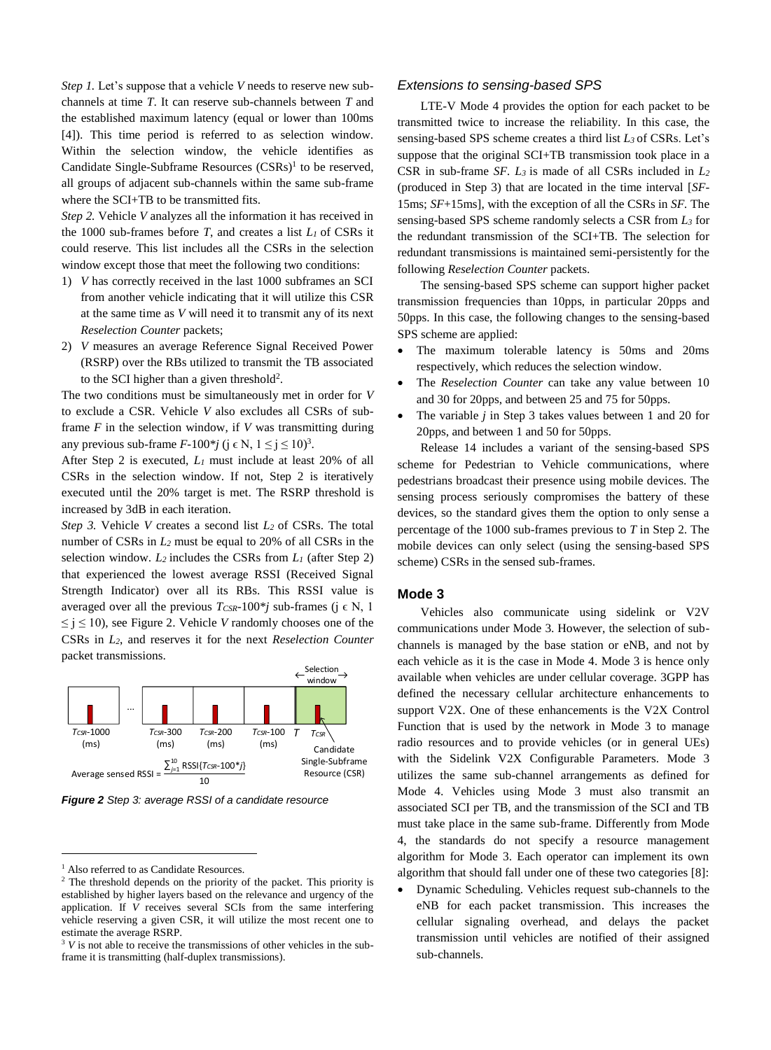*Step 1.* Let's suppose that a vehicle *V* needs to reserve new subchannels at time *T*. It can reserve sub-channels between *T* and the established maximum latency (equal or lower than 100ms [4]). This time period is referred to as selection window. Within the selection window, the vehicle identifies as Candidate Single-Subframe Resources (CSRs)<sup>1</sup> to be reserved, all groups of adjacent sub-channels within the same sub-frame where the SCI+TB to be transmitted fits.

*Step 2.* Vehicle *V* analyzes all the information it has received in the 1000 sub-frames before  $T$ , and creates a list  $L_l$  of CSRs it could reserve. This list includes all the CSRs in the selection window except those that meet the following two conditions:

- 1) *V* has correctly received in the last 1000 subframes an SCI from another vehicle indicating that it will utilize this CSR at the same time as *V* will need it to transmit any of its next *Reselection Counter* packets;
- 2) *V* measures an average Reference Signal Received Power (RSRP) over the RBs utilized to transmit the TB associated to the SCI higher than a given threshold<sup>2</sup>.

The two conditions must be simultaneously met in order for *V*  to exclude a CSR. Vehicle *V* also excludes all CSRs of subframe *F* in the selection window, if *V* was transmitting during any previous sub-frame  $F-100^*j$  ( $j \in N$ ,  $1 \le j \le 10)^3$ .

After Step 2 is executed, *L<sup>1</sup>* must include at least 20% of all CSRs in the selection window. If not, Step 2 is iteratively executed until the 20% target is met. The RSRP threshold is increased by 3dB in each iteration.

*Step 3.* Vehicle *V* creates a second list *L2* of CSRs. The total number of CSRs in *L<sup>2</sup>* must be equal to 20% of all CSRs in the selection window.  $L_2$  includes the CSRs from  $L_1$  (after Step 2) that experienced the lowest average RSSI (Received Signal Strength Indicator) over all its RBs. This RSSI value is averaged over all the previous  $T_{CSR}$ -100\**j* sub-frames ( $i \in N$ , 1  $\leq$  j  $\leq$  10), see Figure 2. Vehicle *V* randomly chooses one of the CSRs in *L2*, and reserves it for the next *Reselection Counter* packet transmissions.



*Figure 2 Step 3: average RSSI of a candidate resource*

 $\overline{a}$ 

#### *Extensions to sensing-based SPS*

LTE-V Mode 4 provides the option for each packet to be transmitted twice to increase the reliability. In this case, the sensing-based SPS scheme creates a third list *L3* of CSRs. Let's suppose that the original SCI+TB transmission took place in a CSR in sub-frame *SF. L<sup>3</sup>* is made of all CSRs included in *L<sup>2</sup>* (produced in Step 3) that are located in the time interval [*SF*-15ms; *SF*+15ms], with the exception of all the CSRs in *SF.* The sensing-based SPS scheme randomly selects a CSR from *L<sup>3</sup>* for the redundant transmission of the SCI+TB. The selection for redundant transmissions is maintained semi-persistently for the following *Reselection Counter* packets.

The sensing-based SPS scheme can support higher packet transmission frequencies than 10pps, in particular 20pps and 50pps. In this case, the following changes to the sensing-based SPS scheme are applied:

- The maximum tolerable latency is 50ms and 20ms respectively, which reduces the selection window.
- The *Reselection Counter* can take any value between 10 and 30 for 20pps, and between 25 and 75 for 50pps.
- The variable *j* in Step 3 takes values between 1 and 20 for 20pps, and between 1 and 50 for 50pps.

Release 14 includes a variant of the sensing-based SPS scheme for Pedestrian to Vehicle communications, where pedestrians broadcast their presence using mobile devices. The sensing process seriously compromises the battery of these devices, so the standard gives them the option to only sense a percentage of the 1000 sub-frames previous to *T* in Step 2. The mobile devices can only select (using the sensing-based SPS scheme) CSRs in the sensed sub-frames.

#### **Mode 3**

Vehicles also communicate using sidelink or V2V communications under Mode 3. However, the selection of subchannels is managed by the base station or eNB, and not by each vehicle as it is the case in Mode 4. Mode 3 is hence only available when vehicles are under cellular coverage. 3GPP has defined the necessary cellular architecture enhancements to support V2X. One of these enhancements is the V2X Control Function that is used by the network in Mode 3 to manage radio resources and to provide vehicles (or in general UEs) with the Sidelink V2X Configurable Parameters. Mode 3 utilizes the same sub-channel arrangements as defined for Mode 4. Vehicles using Mode 3 must also transmit an associated SCI per TB, and the transmission of the SCI and TB must take place in the same sub-frame. Differently from Mode 4, the standards do not specify a resource management algorithm for Mode 3. Each operator can implement its own algorithm that should fall under one of these two categories [8]:

 Dynamic Scheduling. Vehicles request sub-channels to the eNB for each packet transmission. This increases the cellular signaling overhead, and delays the packet transmission until vehicles are notified of their assigned sub-channels.

<sup>&</sup>lt;sup>1</sup> Also referred to as Candidate Resources.

<sup>&</sup>lt;sup>2</sup> The threshold depends on the priority of the packet. This priority is established by higher layers based on the relevance and urgency of the application. If *V* receives several SCIs from the same interfering vehicle reserving a given CSR, it will utilize the most recent one to estimate the average RSRP.

<sup>&</sup>lt;sup>3</sup> *V* is not able to receive the transmissions of other vehicles in the subframe it is transmitting (half-duplex transmissions).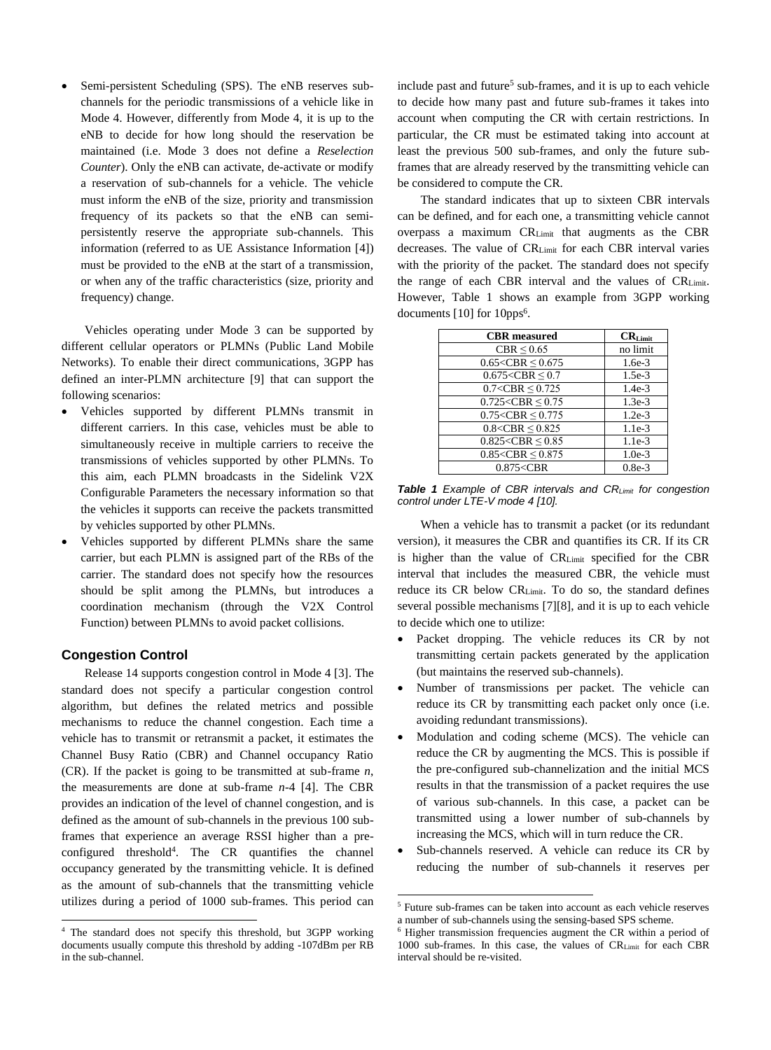Semi-persistent Scheduling (SPS). The eNB reserves subchannels for the periodic transmissions of a vehicle like in Mode 4. However, differently from Mode 4, it is up to the eNB to decide for how long should the reservation be maintained (i.e. Mode 3 does not define a *Reselection Counter*). Only the eNB can activate, de-activate or modify a reservation of sub-channels for a vehicle. The vehicle must inform the eNB of the size, priority and transmission frequency of its packets so that the eNB can semipersistently reserve the appropriate sub-channels. This information (referred to as UE Assistance Information [4]) must be provided to the eNB at the start of a transmission, or when any of the traffic characteristics (size, priority and frequency) change.

Vehicles operating under Mode 3 can be supported by different cellular operators or PLMNs (Public Land Mobile Networks). To enable their direct communications, 3GPP has defined an inter-PLMN architecture [9] that can support the following scenarios:

- Vehicles supported by different PLMNs transmit in different carriers. In this case, vehicles must be able to simultaneously receive in multiple carriers to receive the transmissions of vehicles supported by other PLMNs. To this aim, each PLMN broadcasts in the Sidelink V2X Configurable Parameters the necessary information so that the vehicles it supports can receive the packets transmitted by vehicles supported by other PLMNs.
- Vehicles supported by different PLMNs share the same carrier, but each PLMN is assigned part of the RBs of the carrier. The standard does not specify how the resources should be split among the PLMNs, but introduces a coordination mechanism (through the V2X Control Function) between PLMNs to avoid packet collisions.

## **Congestion Control**

 $\overline{a}$ 

Release 14 supports congestion control in Mode 4 [3]. The standard does not specify a particular congestion control algorithm, but defines the related metrics and possible mechanisms to reduce the channel congestion. Each time a vehicle has to transmit or retransmit a packet, it estimates the Channel Busy Ratio (CBR) and Channel occupancy Ratio (CR). If the packet is going to be transmitted at sub-frame *n*, the measurements are done at sub-frame *n*-4 [4]. The CBR provides an indication of the level of channel congestion, and is defined as the amount of sub-channels in the previous 100 subframes that experience an average RSSI higher than a preconfigured threshold<sup>4</sup> . The CR quantifies the channel occupancy generated by the transmitting vehicle. It is defined as the amount of sub-channels that the transmitting vehicle utilizes during a period of 1000 sub-frames. This period can

include past and future<sup>5</sup> sub-frames, and it is up to each vehicle to decide how many past and future sub-frames it takes into account when computing the CR with certain restrictions. In particular, the CR must be estimated taking into account at least the previous 500 sub-frames, and only the future subframes that are already reserved by the transmitting vehicle can be considered to compute the CR.

The standard indicates that up to sixteen CBR intervals can be defined, and for each one, a transmitting vehicle cannot overpass a maximum CRLimit that augments as the CBR decreases. The value of CRLimit for each CBR interval varies with the priority of the packet. The standard does not specify the range of each CBR interval and the values of CRLimit. However, Table 1 shows an example from 3GPP working documents [10] for 10pps<sup>6</sup>.

| <b>CBR</b> measured       | $CR_{Limit}$ |
|---------------------------|--------------|
| $CBR \leq 0.65$           | no limit     |
| $0.65 <$ CBR $\leq 0.675$ | $1.6e-3$     |
| $0.675 <$ CBR $\leq 0.7$  | $1.5e-3$     |
| $0.7 <$ CBR $\leq 0.725$  | $1.4e-3$     |
| $0.725 <$ CBR $\leq 0.75$ | $1.3e-3$     |
| $0.75 <$ CBR $\leq 0.775$ | $1.2e-3$     |
| $0.8 <$ CBR $\leq 0.825$  | $1.1e-3$     |
| $0.825 <$ CBR $\leq 0.85$ | $1.1e-3$     |
| $0.85 <$ CBR $\leq 0.875$ | $1.0e-3$     |
| 0.875 < CBR               | $0.8e-3$     |

*Table 1 Example of CBR intervals and CRLimit for congestion control under LTE-V mode 4 [10].*

When a vehicle has to transmit a packet (or its redundant version), it measures the CBR and quantifies its CR. If its CR is higher than the value of CRLimit specified for the CBR interval that includes the measured CBR, the vehicle must reduce its CR below CRLimit. To do so, the standard defines several possible mechanisms [7][8], and it is up to each vehicle to decide which one to utilize:

- Packet dropping. The vehicle reduces its CR by not transmitting certain packets generated by the application (but maintains the reserved sub-channels).
- Number of transmissions per packet. The vehicle can reduce its CR by transmitting each packet only once (i.e. avoiding redundant transmissions).
- Modulation and coding scheme (MCS). The vehicle can reduce the CR by augmenting the MCS. This is possible if the pre-configured sub-channelization and the initial MCS results in that the transmission of a packet requires the use of various sub-channels. In this case, a packet can be transmitted using a lower number of sub-channels by increasing the MCS, which will in turn reduce the CR.
- Sub-channels reserved. A vehicle can reduce its CR by reducing the number of sub-channels it reserves per

.

<sup>4</sup> The standard does not specify this threshold, but 3GPP working documents usually compute this threshold by adding -107dBm per RB in the sub-channel.

<sup>5</sup> Future sub-frames can be taken into account as each vehicle reserves a number of sub-channels using the sensing-based SPS scheme.

<sup>6</sup> Higher transmission frequencies augment the CR within a period of  $1000$  sub-frames. In this case, the values of  $CR$ <sub>Limit</sub> for each CBR interval should be re-visited.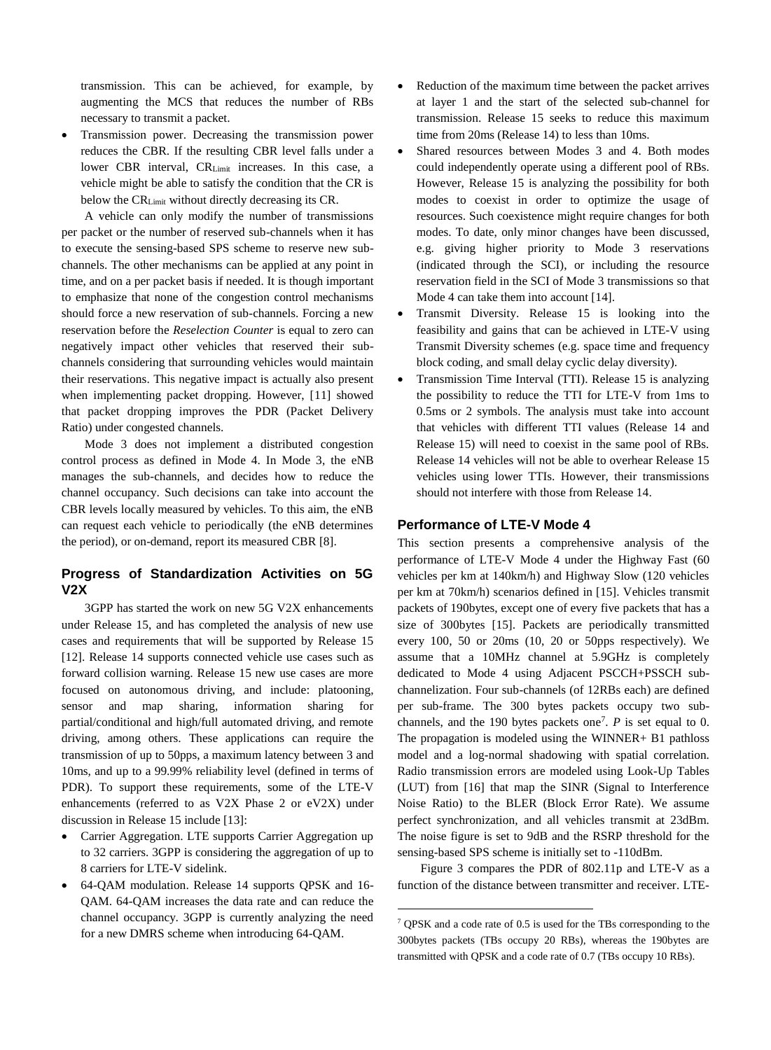transmission. This can be achieved, for example, by augmenting the MCS that reduces the number of RBs necessary to transmit a packet.

 Transmission power. Decreasing the transmission power reduces the CBR. If the resulting CBR level falls under a lower CBR interval, CRLimit increases. In this case, a vehicle might be able to satisfy the condition that the CR is below the CRLimit without directly decreasing its CR.

A vehicle can only modify the number of transmissions per packet or the number of reserved sub-channels when it has to execute the sensing-based SPS scheme to reserve new subchannels. The other mechanisms can be applied at any point in time, and on a per packet basis if needed. It is though important to emphasize that none of the congestion control mechanisms should force a new reservation of sub-channels. Forcing a new reservation before the *Reselection Counter* is equal to zero can negatively impact other vehicles that reserved their subchannels considering that surrounding vehicles would maintain their reservations. This negative impact is actually also present when implementing packet dropping. However, [11] showed that packet dropping improves the PDR (Packet Delivery Ratio) under congested channels.

Mode 3 does not implement a distributed congestion control process as defined in Mode 4. In Mode 3, the eNB manages the sub-channels, and decides how to reduce the channel occupancy. Such decisions can take into account the CBR levels locally measured by vehicles. To this aim, the eNB can request each vehicle to periodically (the eNB determines the period), or on-demand, report its measured CBR [8].

# **Progress of Standardization Activities on 5G V2X**

3GPP has started the work on new 5G V2X enhancements under Release 15, and has completed the analysis of new use cases and requirements that will be supported by Release 15 [12]. Release 14 supports connected vehicle use cases such as forward collision warning. Release 15 new use cases are more focused on autonomous driving, and include: platooning, sensor and map sharing, information sharing for partial/conditional and high/full automated driving, and remote driving, among others. These applications can require the transmission of up to 50pps, a maximum latency between 3 and 10ms, and up to a 99.99% reliability level (defined in terms of PDR). To support these requirements, some of the LTE-V enhancements (referred to as V2X Phase 2 or eV2X) under discussion in Release 15 include [13]:

- Carrier Aggregation. LTE supports Carrier Aggregation up to 32 carriers. 3GPP is considering the aggregation of up to 8 carriers for LTE-V sidelink.
- 64-QAM modulation. Release 14 supports QPSK and 16- QAM. 64-QAM increases the data rate and can reduce the channel occupancy. 3GPP is currently analyzing the need for a new DMRS scheme when introducing 64-QAM.
- Reduction of the maximum time between the packet arrives at layer 1 and the start of the selected sub-channel for transmission. Release 15 seeks to reduce this maximum time from 20ms (Release 14) to less than 10ms.
- Shared resources between Modes 3 and 4. Both modes could independently operate using a different pool of RBs. However, Release 15 is analyzing the possibility for both modes to coexist in order to optimize the usage of resources. Such coexistence might require changes for both modes. To date, only minor changes have been discussed, e.g. giving higher priority to Mode 3 reservations (indicated through the SCI), or including the resource reservation field in the SCI of Mode 3 transmissions so that Mode 4 can take them into account [14].
- Transmit Diversity. Release 15 is looking into the feasibility and gains that can be achieved in LTE-V using Transmit Diversity schemes (e.g. space time and frequency block coding, and small delay cyclic delay diversity).
- Transmission Time Interval (TTI). Release 15 is analyzing the possibility to reduce the TTI for LTE-V from 1ms to 0.5ms or 2 symbols. The analysis must take into account that vehicles with different TTI values (Release 14 and Release 15) will need to coexist in the same pool of RBs. Release 14 vehicles will not be able to overhear Release 15 vehicles using lower TTIs. However, their transmissions should not interfere with those from Release 14.

# **Performance of LTE-V Mode 4**

This section presents a comprehensive analysis of the performance of LTE-V Mode 4 under the Highway Fast (60 vehicles per km at 140km/h) and Highway Slow (120 vehicles per km at 70km/h) scenarios defined in [15]. Vehicles transmit packets of 190bytes, except one of every five packets that has a size of 300bytes [15]. Packets are periodically transmitted every 100, 50 or 20ms (10, 20 or 50pps respectively). We assume that a 10MHz channel at 5.9GHz is completely dedicated to Mode 4 using Adjacent PSCCH+PSSCH subchannelization. Four sub-channels (of 12RBs each) are defined per sub-frame. The 300 bytes packets occupy two subchannels, and the 190 bytes packets one<sup>7</sup>.  $P$  is set equal to 0. The propagation is modeled using the WINNER+ B1 pathloss model and a log-normal shadowing with spatial correlation. Radio transmission errors are modeled using Look-Up Tables (LUT) from [16] that map the SINR (Signal to Interference Noise Ratio) to the BLER (Block Error Rate). We assume perfect synchronization, and all vehicles transmit at 23dBm. The noise figure is set to 9dB and the RSRP threshold for the sensing-based SPS scheme is initially set to -110dBm.

Figure 3 compares the PDR of 802.11p and LTE-V as a function of the distance between transmitter and receiver. LTE-

1

<sup>7</sup> QPSK and a code rate of 0.5 is used for the TBs corresponding to the 300bytes packets (TBs occupy 20 RBs), whereas the 190bytes are transmitted with QPSK and a code rate of 0.7 (TBs occupy 10 RBs).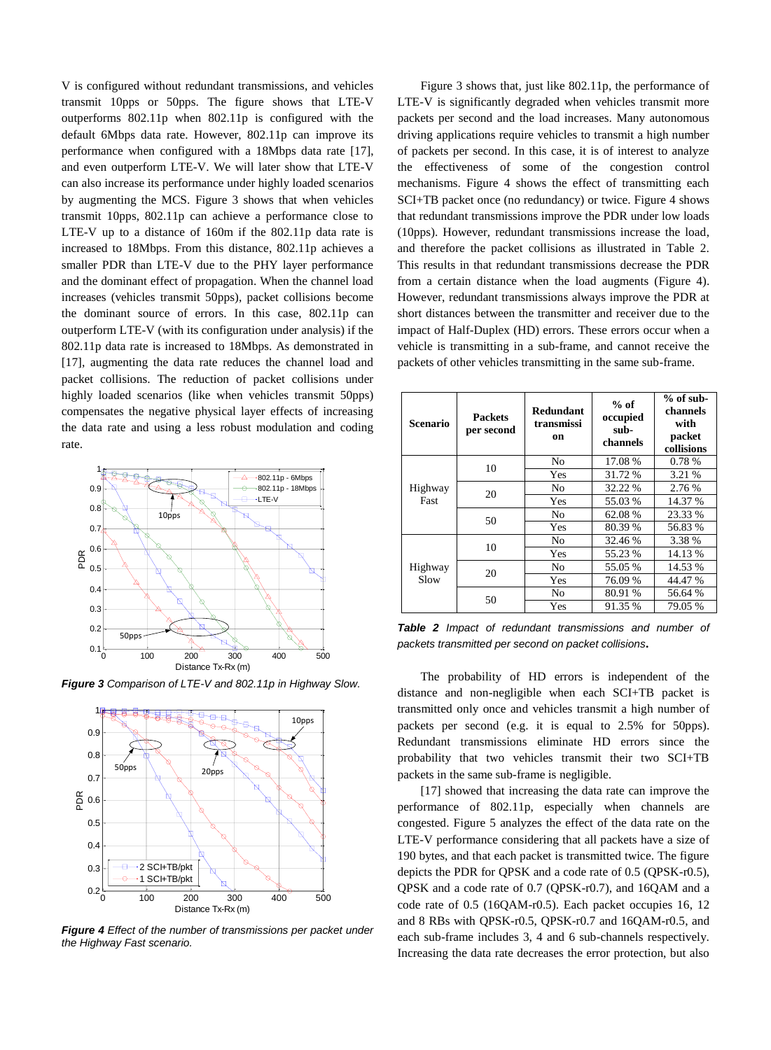V is configured without redundant transmissions, and vehicles transmit 10pps or 50pps. The figure shows that LTE-V outperforms 802.11p when 802.11p is configured with the default 6Mbps data rate. However, 802.11p can improve its performance when configured with a 18Mbps data rate [17], and even outperform LTE-V. We will later show that LTE-V can also increase its performance under highly loaded scenarios by augmenting the MCS. Figure 3 shows that when vehicles transmit 10pps, 802.11p can achieve a performance close to LTE-V up to a distance of 160m if the 802.11p data rate is increased to 18Mbps. From this distance, 802.11p achieves a smaller PDR than LTE-V due to the PHY layer performance and the dominant effect of propagation. When the channel load increases (vehicles transmit 50pps), packet collisions become the dominant source of errors. In this case, 802.11p can outperform LTE-V (with its configuration under analysis) if the 802.11p data rate is increased to 18Mbps. As demonstrated in [17], augmenting the data rate reduces the channel load and packet collisions. The reduction of packet collisions under highly loaded scenarios (like when vehicles transmit 50pps) compensates the negative physical layer effects of increasing the data rate and using a less robust modulation and coding rate.



*Figure 3 Comparison of LTE-V and 802.11p in Highway Slow.*



*Figure 4 Effect of the number of transmissions per packet under the Highway Fast scenario.*

Figure 3 shows that, just like 802.11p, the performance of LTE-V is significantly degraded when vehicles transmit more packets per second and the load increases. Many autonomous driving applications require vehicles to transmit a high number of packets per second. In this case, it is of interest to analyze the effectiveness of some of the congestion control mechanisms. Figure 4 shows the effect of transmitting each SCI+TB packet once (no redundancy) or twice. Figure 4 shows that redundant transmissions improve the PDR under low loads (10pps). However, redundant transmissions increase the load, and therefore the packet collisions as illustrated in Table 2. This results in that redundant transmissions decrease the PDR from a certain distance when the load augments (Figure 4). However, redundant transmissions always improve the PDR at short distances between the transmitter and receiver due to the impact of Half-Duplex (HD) errors. These errors occur when a vehicle is transmitting in a sub-frame, and cannot receive the packets of other vehicles transmitting in the same sub-frame.

| <b>Scenario</b> | <b>Packets</b><br>per second | <b>Redundant</b><br>transmissi<br>on | $%$ of<br>occupied<br>sub-<br>channels | $%$ of sub-<br>channels<br>with<br>packet<br>collisions |
|-----------------|------------------------------|--------------------------------------|----------------------------------------|---------------------------------------------------------|
| Highway<br>Fast | 10                           | No                                   | 17.08 %                                | 0.78 %                                                  |
|                 |                              | Yes                                  | 31.72 %                                | 3.21 %                                                  |
|                 | 20                           | No                                   | 32.22 %                                | 2.76 %                                                  |
|                 |                              | Yes                                  | 55.03 %                                | 14.37 %                                                 |
|                 | 50                           | No                                   | 62.08%                                 | 23.33 %                                                 |
|                 |                              | Yes                                  | 80.39 %                                | 56.83 %                                                 |
| Highway<br>Slow | 10                           | N <sub>0</sub>                       | 32.46 %                                | 3.38 %                                                  |
|                 |                              | Yes                                  | 55.23 %                                | 14.13 %                                                 |
|                 | 20                           | No                                   | 55.05 %                                | 14.53 %                                                 |
|                 |                              | Yes                                  | 76.09 %                                | 44.47 %                                                 |
|                 | 50                           | N <sub>0</sub>                       | 80.91 %                                | 56.64 %                                                 |
|                 |                              | Yes                                  | 91.35 %                                | 79.05 %                                                 |

*Table 2 Impact of redundant transmissions and number of packets transmitted per second on packet collisions***.**

The probability of HD errors is independent of the distance and non-negligible when each SCI+TB packet is transmitted only once and vehicles transmit a high number of packets per second (e.g. it is equal to 2.5% for 50pps). Redundant transmissions eliminate HD errors since the probability that two vehicles transmit their two SCI+TB packets in the same sub-frame is negligible.

[17] showed that increasing the data rate can improve the performance of 802.11p, especially when channels are congested. Figure 5 analyzes the effect of the data rate on the LTE-V performance considering that all packets have a size of 190 bytes, and that each packet is transmitted twice. The figure depicts the PDR for QPSK and a code rate of 0.5 (QPSK-r0.5), QPSK and a code rate of 0.7 (QPSK-r0.7), and 16QAM and a code rate of 0.5 (16QAM-r0.5). Each packet occupies 16, 12 and 8 RBs with QPSK-r0.5, QPSK-r0.7 and 16QAM-r0.5, and each sub-frame includes 3, 4 and 6 sub-channels respectively. Increasing the data rate decreases the error protection, but also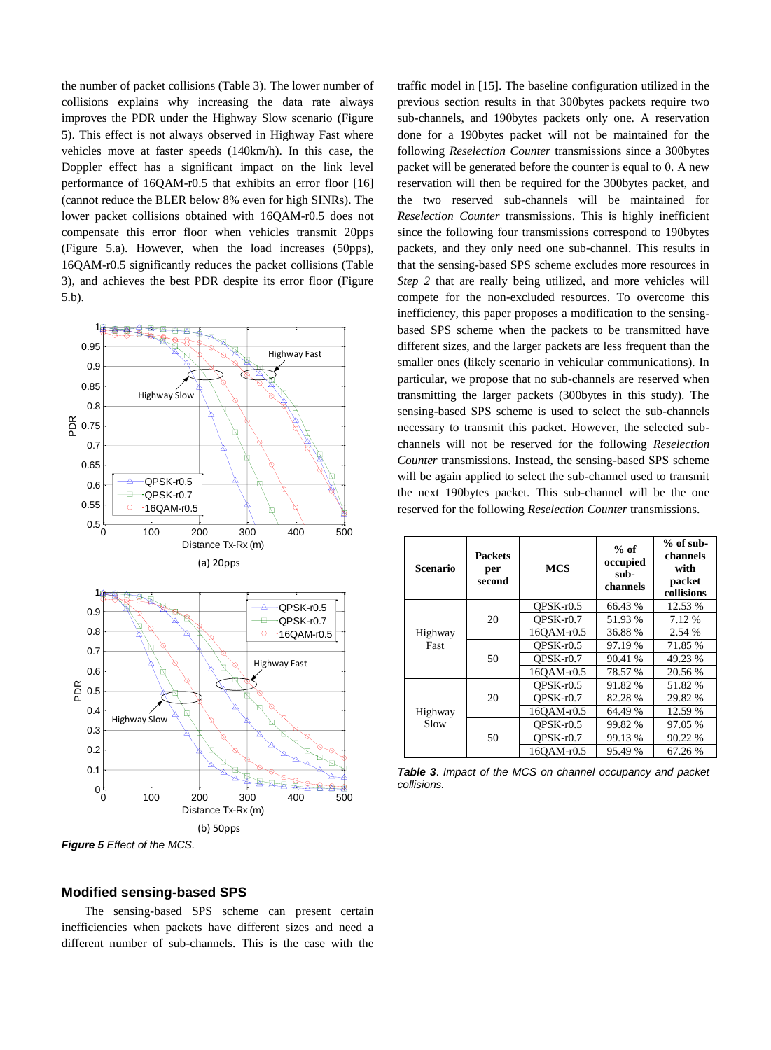the number of packet collisions (Table 3). The lower number of collisions explains why increasing the data rate always improves the PDR under the Highway Slow scenario (Figure 5). This effect is not always observed in Highway Fast where vehicles move at faster speeds (140km/h). In this case, the Doppler effect has a significant impact on the link level performance of 16QAM-r0.5 that exhibits an error floor [16] (cannot reduce the BLER below 8% even for high SINRs). The lower packet collisions obtained with 16QAM-r0.5 does not compensate this error floor when vehicles transmit 20pps (Figure 5.a). However, when the load increases (50pps), 16QAM-r0.5 significantly reduces the packet collisions (Table 3), and achieves the best PDR despite its error floor (Figure 5.b).



*Figure 5 Effect of the MCS.*

traffic model in [15]. The baseline configuration utilized in the previous section results in that 300bytes packets require two sub-channels, and 190bytes packets only one. A reservation done for a 190bytes packet will not be maintained for the following *Reselection Counter* transmissions since a 300bytes packet will be generated before the counter is equal to 0. A new reservation will then be required for the 300bytes packet, and the two reserved sub-channels will be maintained for *Reselection Counter* transmissions. This is highly inefficient since the following four transmissions correspond to 190bytes packets, and they only need one sub-channel. This results in that the sensing-based SPS scheme excludes more resources in *Step 2* that are really being utilized, and more vehicles will compete for the non-excluded resources. To overcome this inefficiency, this paper proposes a modification to the sensingbased SPS scheme when the packets to be transmitted have different sizes, and the larger packets are less frequent than the smaller ones (likely scenario in vehicular communications). In particular, we propose that no sub-channels are reserved when transmitting the larger packets (300bytes in this study). The sensing-based SPS scheme is used to select the sub-channels necessary to transmit this packet. However, the selected subchannels will not be reserved for the following *Reselection Counter* transmissions. Instead, the sensing-based SPS scheme will be again applied to select the sub-channel used to transmit the next 190bytes packet. This sub-channel will be the one reserved for the following *Reselection Counter* transmissions.

| <b>Scenario</b> | <b>Packets</b><br>per<br>second | <b>MCS</b>  | $%$ of<br>occupied<br>sub-<br>channels | $%$ of sub-<br>channels<br>with<br>packet<br>collisions |
|-----------------|---------------------------------|-------------|----------------------------------------|---------------------------------------------------------|
| Highway<br>Fast | 20                              | $OPSK-r0.5$ | 66.43 %                                | 12.53 %                                                 |
|                 |                                 | $OPSK-r0.7$ | 51.93 %                                | 7.12 %                                                  |
|                 |                                 | 16OAM-r0.5  | 36.88 %                                | 2.54 %                                                  |
|                 | 50                              | $OPSK-r0.5$ | 97.19 %                                | 71.85 %                                                 |
|                 |                                 | $OPSK-r0.7$ | 90.41 %                                | 49.23 %                                                 |
|                 |                                 | 16OAM-r0.5  | 78.57 %                                | 20.56 %                                                 |
| Highway<br>Slow | 20                              | $OPSK-r0.5$ | 91.82 %                                | 51.82 %                                                 |
|                 |                                 | $QPSK-r0.7$ | 82.28 %                                | 29.82 %                                                 |
|                 |                                 | 16OAM-r0.5  | 64.49 %                                | 12.59 %                                                 |
|                 | 50                              | $OPSK-r0.5$ | 99.82 %                                | 97.05 %                                                 |
|                 |                                 | $OPSK-10.7$ | 99.13 %                                | 90.22 %                                                 |
|                 |                                 | 16OAM-r0.5  | 95.49 %                                | 67.26 %                                                 |

*Table 3*. *Impact of the MCS on channel occupancy and packet collisions.*

## **Modified sensing-based SPS**

The sensing-based SPS scheme can present certain inefficiencies when packets have different sizes and need a different number of sub-channels. This is the case with the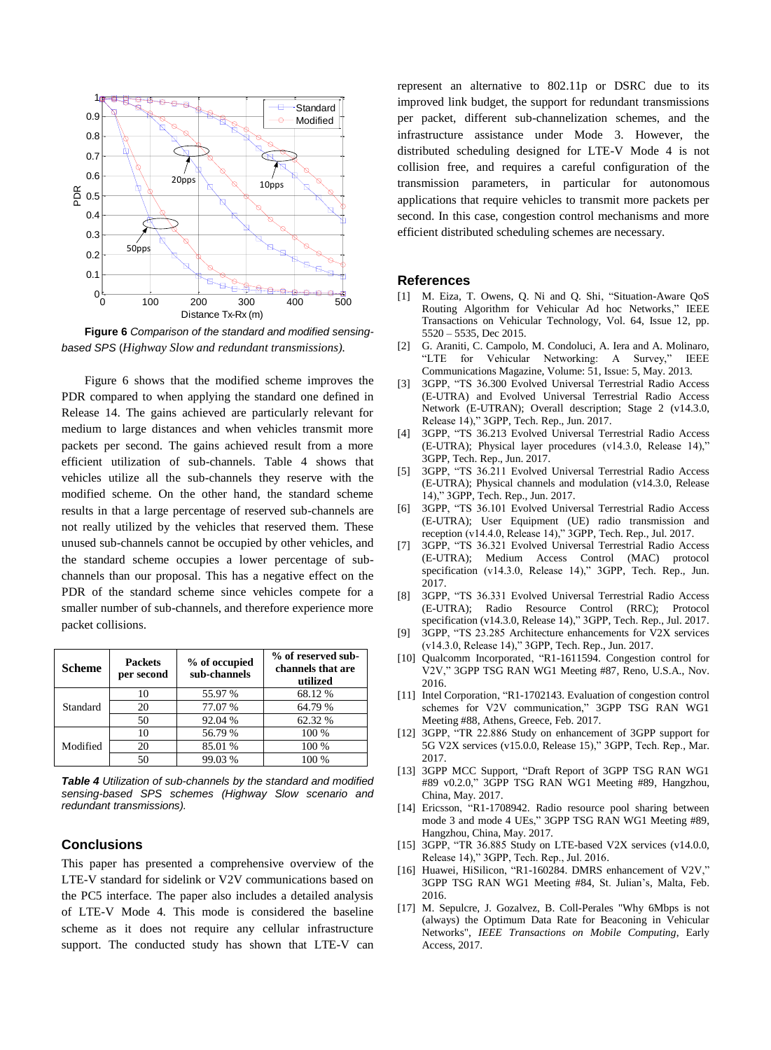

**Figure 6** *Comparison of the standard and modified sensingbased SPS* (*Highway Slow and redundant transmissions).*

Figure 6 shows that the modified scheme improves the PDR compared to when applying the standard one defined in Release 14. The gains achieved are particularly relevant for medium to large distances and when vehicles transmit more packets per second. The gains achieved result from a more efficient utilization of sub-channels. Table 4 shows that vehicles utilize all the sub-channels they reserve with the modified scheme. On the other hand, the standard scheme results in that a large percentage of reserved sub-channels are not really utilized by the vehicles that reserved them. These unused sub-channels cannot be occupied by other vehicles, and the standard scheme occupies a lower percentage of subchannels than our proposal. This has a negative effect on the PDR of the standard scheme since vehicles compete for a smaller number of sub-channels, and therefore experience more packet collisions.

| <b>Scheme</b> | <b>Packets</b><br>per second | % of occupied<br>sub-channels | % of reserved sub-<br>channels that are<br>utilized |
|---------------|------------------------------|-------------------------------|-----------------------------------------------------|
| Standard      | 10                           | 55.97 %                       | 68.12 %                                             |
|               | 20                           | 77.07 %                       | 64.79 %                                             |
|               | 50                           | 92.04 %                       | 62.32 %                                             |
| Modified      | 10                           | 56.79 %                       | 100 %                                               |
|               | 20                           | 85.01 %                       | 100 %                                               |
|               | 50                           | 99.03 %                       | 100 %                                               |

*Table 4 Utilization of sub-channels by the standard and modified sensing-based SPS schemes (Highway Slow scenario and redundant transmissions).*

# **Conclusions**

This paper has presented a comprehensive overview of the LTE-V standard for sidelink or V2V communications based on the PC5 interface. The paper also includes a detailed analysis of LTE-V Mode 4. This mode is considered the baseline scheme as it does not require any cellular infrastructure support. The conducted study has shown that LTE-V can represent an alternative to 802.11p or DSRC due to its improved link budget, the support for redundant transmissions per packet, different sub-channelization schemes, and the infrastructure assistance under Mode 3. However, the distributed scheduling designed for LTE-V Mode 4 is not collision free, and requires a careful configuration of the transmission parameters, in particular for autonomous applications that require vehicles to transmit more packets per second. In this case, congestion control mechanisms and more efficient distributed scheduling schemes are necessary.

#### **References**

- [1] M. Eiza, T. Owens, Q. Ni and Q. Shi, "Situation-Aware QoS Routing Algorithm for Vehicular Ad hoc Networks," IEEE Transactions on Vehicular Technology, Vol. 64, Issue 12, pp. 5520 – 5535, Dec 2015.
- [2] G. Araniti, C. Campolo, M. Condoluci, A. Iera and A. Molinaro, "LTE for Vehicular Networking: A Survey," IEEE Communications Magazine, Volume: 51, Issue: 5, May. 2013.
- [3] 3GPP, "TS 36.300 Evolved Universal Terrestrial Radio Access (E-UTRA) and Evolved Universal Terrestrial Radio Access Network (E-UTRAN); Overall description; Stage 2 (v14.3.0, Release 14)," 3GPP, Tech. Rep., Jun. 2017.
- [4] 3GPP, "TS 36.213 Evolved Universal Terrestrial Radio Access (E-UTRA); Physical layer procedures (v14.3.0, Release 14)," 3GPP, Tech. Rep., Jun. 2017.
- [5] 3GPP, "TS 36.211 Evolved Universal Terrestrial Radio Access (E-UTRA); Physical channels and modulation (v14.3.0, Release 14)," 3GPP, Tech. Rep., Jun. 2017.
- [6] 3GPP, "TS 36.101 Evolved Universal Terrestrial Radio Access (E-UTRA); User Equipment (UE) radio transmission and reception (v14.4.0, Release 14)," 3GPP, Tech. Rep., Jul. 2017.
- [7] 3GPP, "TS 36.321 Evolved Universal Terrestrial Radio Access (E-UTRA); Medium Access Control (MAC) protocol specification (v14.3.0, Release 14)," 3GPP, Tech. Rep., Jun. 2017.
- [8] 3GPP, "TS 36.331 Evolved Universal Terrestrial Radio Access (E-UTRA); Radio Resource Control (RRC); Protocol specification (v14.3.0, Release 14)," 3GPP, Tech. Rep., Jul. 2017.
- [9] 3GPP, "TS 23.285 Architecture enhancements for V2X services (v14.3.0, Release 14)," 3GPP, Tech. Rep., Jun. 2017.
- [10] Qualcomm Incorporated, "R1-1611594. Congestion control for V2V," 3GPP TSG RAN WG1 Meeting #87, Reno, U.S.A., Nov. 2016.
- [11] Intel Corporation, "R1-1702143. Evaluation of congestion control schemes for V2V communication," 3GPP TSG RAN WG1 Meeting #88, Athens, Greece, Feb. 2017.
- [12] 3GPP, "TR 22.886 Study on enhancement of 3GPP support for 5G V2X services (v15.0.0, Release 15)," 3GPP, Tech. Rep., Mar. 2017.
- [13] 3GPP MCC Support, "Draft Report of 3GPP TSG RAN WG1 #89 v0.2.0," 3GPP TSG RAN WG1 Meeting #89, Hangzhou, China, May. 2017.
- [14] Ericsson, "R1-1708942. Radio resource pool sharing between mode 3 and mode 4 UEs," 3GPP TSG RAN WG1 Meeting #89, Hangzhou, China, May. 2017.
- [15] 3GPP, "TR 36.885 Study on LTE-based V2X services (v14.0.0, Release 14)," 3GPP, Tech. Rep., Jul. 2016.
- [16] Huawei, HiSilicon, "R1-160284. DMRS enhancement of V2V," 3GPP TSG RAN WG1 Meeting #84, St. Julian's, Malta, Feb. 2016.
- [17] M. Sepulcre, J. Gozalvez, B. Coll-Perales "Why 6Mbps is not (always) the Optimum Data Rate for Beaconing in Vehicular Networks", *IEEE Transactions on Mobile Computing*, Early Access, 2017.